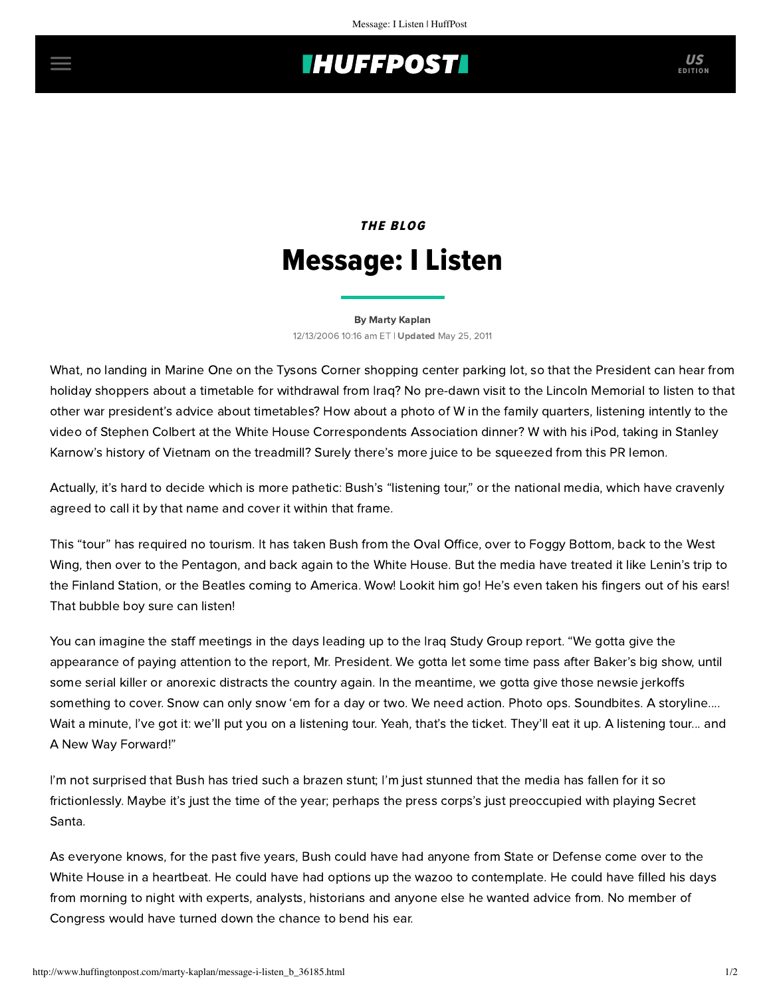## **INUFFPOST**

# **THE BLOG** Message: I Listen

### [By Marty Kaplan](http://www.huffingtonpost.com/author/marty-kaplan) 12/13/2006 10:16 am ET | Updated May 25, 2011

What, no landing in Marine One on the Tysons Corner shopping center parking lot, so that the President can hear from holiday shoppers about a timetable for withdrawal from Iraq? No pre-dawn visit to the Lincoln Memorial to listen to that other war president's advice about timetables? How about a photo of W in the family quarters, listening intently to the video of Stephen Colbert at the White House Correspondents Association dinner? W with his iPod, taking in Stanley Karnow's history of Vietnam on the treadmill? Surely there's more juice to be squeezed from this PR lemon.

Actually, it's hard to decide which is more pathetic: Bush's "listening tour," or the national media, which have cravenly agreed to call it by that name and cover it within that frame.

This "tour" has required no tourism. It has taken Bush from the Oval Office, over to Foggy Bottom, back to the West Wing, then over to the Pentagon, and back again to the White House. But the media have treated it like Lenin's trip to the Finland Station, or the Beatles coming to America. Wow! Lookit him go! He's even taken his fingers out of his ears! That bubble boy sure can listen!

You can imagine the staff meetings in the days leading up to the Iraq Study Group report. "We gotta give the appearance of paying attention to the report, Mr. President. We gotta let some time pass after Baker's big show, until some serial killer or anorexic distracts the country again. In the meantime, we gotta give those newsie jerkoffs something to cover. Snow can only snow 'em for a day or two. We need action. Photo ops. Soundbites. A storyline.... Wait a minute, I've got it: we'll put you on a listening tour. Yeah, that's the ticket. They'll eat it up. A listening tour... and A New Way Forward!"

I'm not surprised that Bush has tried such a brazen stunt; I'm just stunned that the media has fallen for it so frictionlessly. Maybe it's just the time of the year; perhaps the press corps's just preoccupied with playing Secret Santa.

As everyone knows, for the past five years, Bush could have had anyone from State or Defense come over to the White House in a heartbeat. He could have had options up the wazoo to contemplate. He could have filled his days from morning to night with experts, analysts, historians and anyone else he wanted advice from. No member of Congress would have turned down the chance to bend his ear.